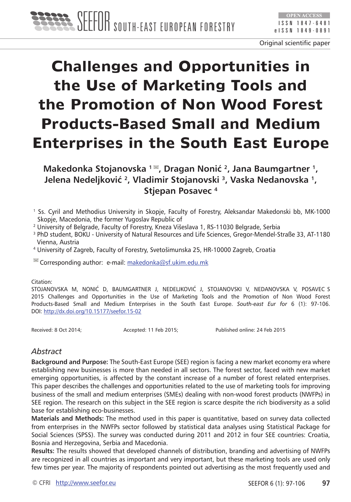# **Challenges and Opportunities in the Use of Marketing Tools and the Promotion of Non Wood Forest Products-Based Small and Medium Enterprises in the South East Europe**

**Makedonka Stojanovska 1 , Dragan Nonić 2, Jana Baumgartner 1, Jelena Nedeljković 2, Vladimir Stojanovski 3, Vaska Nedanovska 1, Stjepan Posavec 4**

- 1 Ss. Cyril and Methodius University in Skopje, Faculty of Forestry, Aleksandar Makedonski bb, MK-1000 Skopje, Macedonia, the former Yugoslav Republic of
- 2 University of Belgrade, Faculty of Forestry, Kneza Višeslava 1, RS-11030 Belgrade, Serbia
- 3 PhD student, BOKU University of Natural Resources and Life Sciences, Gregor-Mendel-Straße 33, AT-1180 Vienna, Austria
- 4 University of Zagreb, Faculty of Forestry, Svetošimunska 25, HR-10000 Zagreb, Croatia

 $\leq$  Corresponding author: e-mail: [makedonka@sf.ukim.edu.mk](mailto:makedonka@sf.ukim.edu.mk)

#### Citation:

STOJANOVSKA M, NONIĆ D, BAUMGARTNER J, NEDELJKOVIĆ J, STOJANOVSKI V, NEDANOVSKA V, POSAVEC S 2015 Challenges and Opportunities in the Use of Marketing Tools and the Promotion of Non Wood Forest Products-Based Small and Medium Enterprises in the South East Europe. *South-east Eur for* 6 (1): 97-106. DOI:<http://dx.doi.org/10.15177/seefor.15-02>

Received: 8 Oct 2014; Accepted: 11 Feb 2015; Published online: 24 Feb 2015

## *Abstract*

**Background and Purpose:** The South-East Europe (SEE) region is facing a new market economy era where establishing new businesses is more than needed in all sectors. The forest sector, faced with new market emerging opportunities, is affected by the constant increase of a number of forest related enterprises. This paper describes the challenges and opportunities related to the use of marketing tools for improving business of the small and medium enterprises (SMEs) dealing with non-wood forest products (NWFPs) in SEE region. The research on this subject in the SEE region is scarce despite the rich biodiversity as a solid base for establishing eco-businesses.

**Materials and Methods:** The method used in this paper is quantitative, based on survey data collected from enterprises in the NWFPs sector followed by statistical data analyses using Statistical Package for Social Sciences (SPSS). The survey was conducted during 2011 and 2012 in four SEE countries: Croatia, Bosnia and Herzegovina, Serbia and Macedonia.

**Results:** The results showed that developed channels of distribution, branding and advertising of NWFPs are recognized in all countries as important and very important, but these marketing tools are used only few times per year. The majority of respondents pointed out advertising as the most frequently used and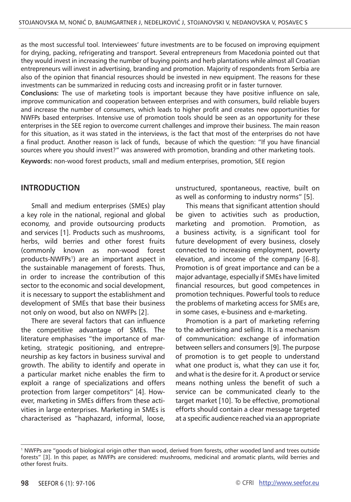as the most successful tool. Interviewees' future investments are to be focused on improving equipment for drying, packing, refrigerating and transport. Several entrepreneurs from Macedonia pointed out that they would invest in increasing the number of buying points and herb plantations while almost all Croatian entrepreneurs will invest in advertising, branding and promotion. Majority of respondents from Serbia are also of the opinion that financial resources should be invested in new equipment. The reasons for these investments can be summarized in reducing costs and increasing profit or in faster turnover.

**Conclusions:** The use of marketing tools is important because they have positive influence on sale, improve communication and cooperation between enterprises and with consumers, build reliable buyers and increase the number of consumers, which leads to higher profit and creates new opportunities for NWFPs based enterprises. Intensive use of promotion tools should be seen as an opportunity for these enterprises in the SEE region to overcome current challenges and improve their business. The main reason for this situation, as it was stated in the interviews, is the fact that most of the enterprises do not have a final product. Another reason is lack of funds, because of which the question: "If you have financial sources where you should invest?" was answered with promotion, branding and other marketing tools.

**Keywords:** non-wood forest products, small and medium enterprises, promotion, SEE region

### **INTRODUCTION**

Small and medium enterprises (SMEs) play a key role in the national, regional and global economy, and provide outsourcing products and services [1]. Products such as mushrooms, herbs, wild berries and other forest fruits (commonly known as non-wood forest products-NWFPs<sup>1</sup>) are an important aspect in the sustainable management of forests. Thus, in order to increase the contribution of this sector to the economic and social development, it is necessary to support the establishment and development of SMEs that base their business not only on wood, but also on NWFPs [2].

There are several factors that can influence the competitive advantage of SMEs. The literature emphasises "the importance of marketing, strategic positioning, and entrepreneurship as key factors in business survival and growth. The ability to identify and operate in a particular market niche enables the firm to exploit a range of specializations and offers protection from larger competitors" [4]. However, marketing in SMEs differs from these activities in large enterprises. Marketing in SMEs is characterised as "haphazard, informal, loose,

unstructured, spontaneous, reactive, built on as well as conforming to industry norms" [5].

This means that significant attention should be given to activities such as production, marketing and promotion. Promotion, as a business activity, is a significant tool for future development of every business, closely connected to increasing employment, poverty elevation, and income of the company [6-8]. Promotion is of great importance and can be a major advantage, especially if SMEs have limited financial resources, but good competences in promotion techniques. Powerful tools to reduce the problems of marketing access for SMEs are, in some cases, e-business and e-marketing.

Promotion is a part of marketing referring to the advertising and selling. It is a mechanism of communication: exchange of information between sellers and consumers [9]. The purpose of promotion is to get people to understand what one product is, what they can use it for, and what is the desire for it. A product or service means nothing unless the benefit of such a service can be communicated clearly to the target market [10]. To be effective, promotional efforts should contain a clear message targeted at a specific audience reached via an appropriate

<sup>1</sup> NWFPs are "goods of biological origin other than wood, derived from forests, other wooded land and trees outside forests" [3]. In this paper, as NWFPs are considered: mushrooms, medicinal and aromatic plants, wild berries and other forest fruits.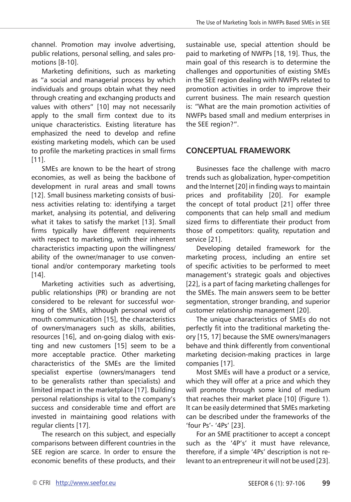channel. Promotion may involve advertising, public relations, personal selling, and sales promotions [8-10].

Marketing definitions, such as marketing as "a social and managerial process by which individuals and groups obtain what they need through creating and exchanging products and values with others" [10] may not necessarily apply to the small firm context due to its unique characteristics. Existing literature has emphasized the need to develop and refine existing marketing models, which can be used to profile the marketing practices in small firms [11].

SMEs are known to be the heart of strong economies, as well as being the backbone of development in rural areas and small towns [12]. Small business marketing consists of business activities relating to: identifying a target market, analysing its potential, and delivering what it takes to satisfy the market [13]. Small firms typically have different requirements with respect to marketing, with their inherent characteristics impacting upon the willingness/ ability of the owner/manager to use conventional and/or contemporary marketing tools [14].

Marketing activities such as advertising, public relationships (PR) or branding are not considered to be relevant for successful working of the SMEs, although personal word of mouth communication [15], the characteristics of owners/managers such as skills, abilities, resources [16], and on-going dialog with existing and new customers [15] seem to be a more acceptable practice. Other marketing characteristics of the SMEs are the limited specialist expertise (owners/managers tend to be generalists rather than specialists) and limited impact in the marketplace [17]. Building personal relationships is vital to the company's success and considerable time and effort are invested in maintaining good relations with regular clients [17].

The research on this subject, and especially comparisons between different countries in the SEE region are scarce. In order to ensure the economic benefits of these products, and their sustainable use, special attention should be paid to marketing of NWFPs [18, 19]. Thus, the main goal of this research is to determine the challenges and opportunities of existing SMEs in the SEE region dealing with NWFPs related to promotion activities in order to improve their current business. The main research question is: "What are the main promotion activities of NWFPs based small and medium enterprises in the SEE region?".

## **CONCEPTUAL FRAMEWORK**

Businesses face the challenge with macro trends such as globalization, hyper-competition and the Internet [20] in finding ways to maintain prices and profitability [20]. For example the concept of total product [21] offer three components that can help small and medium sized firms to differentiate their product from those of competitors: quality, reputation and service [21].

Developing detailed framework for the marketing process, including an entire set of specific activities to be performed to meet management's strategic goals and objectives [22], is a part of facing marketing challenges for the SMEs. The main answers seem to be better segmentation, stronger branding, and superior customer relationship management [20].

The unique characteristics of SMEs do not perfectly fit into the traditional marketing theory [15, 17] because the SME owners/managers behave and think differently from conventional marketing decision-making practices in large companies [17].

Most SMEs will have a product or a service, which they will offer at a price and which they will promote through some kind of medium that reaches their market place [10] (Figure 1). It can be easily determined that SMEs marketing can be described under the frameworks of the 'four Ps'- '4Ps' [23].

For an SME practitioner to accept a concept such as the '4P's' it must have relevance, therefore, if a simple '4Ps' description is not relevant to an entrepreneur it will not be used [23].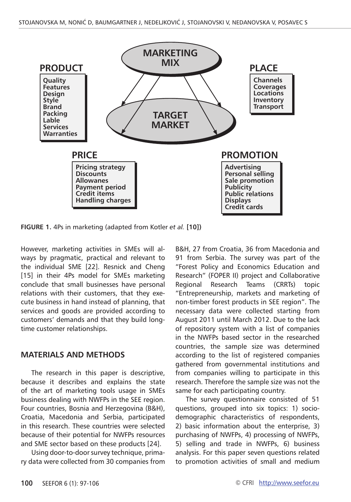

**FIGURE 1.** 4Ps in marketing (adapted from Kotler *et al.* **[10])**

However, marketing activities in SMEs will always by pragmatic, practical and relevant to the individual SME [22]. Resnick and Cheng [15] in their 4Ps model for SMEs marketing conclude that small businesses have personal relations with their customers, that they execute business in hand instead of planning, that services and goods are provided according to customers' demands and that they build longtime customer relationships.

#### **MATERIALS AND METHODS**

The research in this paper is descriptive, because it describes and explains the state of the art of marketing tools usage in SMEs business dealing with NWFPs in the SEE region. Four countries, Bosnia and Herzegovina (B&H), Croatia, Macedonia and Serbia, participated in this research. These countries were selected because of their potential for NWFPs resources and SME sector based on these products [24].

Using door-to-door survey technique, primary data were collected from 30 companies from B&H, 27 from Croatia, 36 from Macedonia and 91 from Serbia. The survey was part of the "Forest Policy and Economics Education and Research" (FOPER II) project and Collaborative Regional Research Teams (CRRTs) topic "Entrepreneurship, markets and marketing of non-timber forest products in SEE region". The necessary data were collected starting from August 2011 until March 2012. Due to the lack of repository system with a list of companies in the NWFPs based sector in the researched countries, the sample size was determined according to the list of registered companies gathered from governmental institutions and from companies willing to participate in this research. Therefore the sample size was not the same for each participating country.

The survey questionnaire consisted of 51 questions, grouped into six topics: 1) sociodemographic characteristics of respondents, 2) basic information about the enterprise, 3) purchasing of NWFPs, 4) processing of NWFPs, 5) selling and trade in NWFPs, 6) business analysis. For this paper seven questions related to promotion activities of small and medium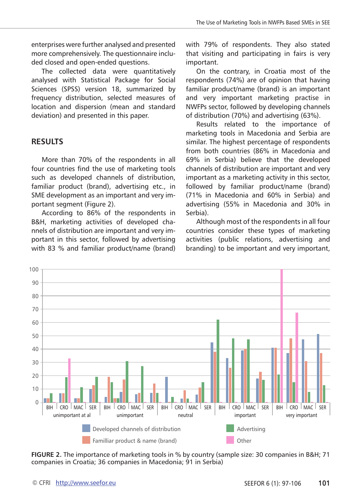enterprises were further analysed and presented more comprehensively. The questionnaire included closed and open-ended questions.

The collected data were quantitatively analysed with Statistical Package for Social Sciences (SPSS) version 18, summarized by frequency distribution, selected measures of location and dispersion (mean and standard deviation) and presented in this paper.

## **RESULTS**

More than 70% of the respondents in all four countries find the use of marketing tools such as developed channels of distribution, familiar product (brand), advertising etc., in SME development as an important and very important segment (Figure 2).

According to 86% of the respondents in B&H, marketing activities of developed channels of distribution are important and very important in this sector, followed by advertising with 83 % and familiar product/name (brand) with 79% of respondents. They also stated that visiting and participating in fairs is very important.

On the contrary, in Croatia most of the respondents (74%) are of opinion that having familiar product/name (brand) is an important and very important marketing practise in NWFPs sector, followed by developing channels of distribution (70%) and advertising (63%).

Results related to the importance of marketing tools in Macedonia and Serbia are similar. The highest percentage of respondents from both countries (86% in Macedonia and 69% in Serbia) believe that the developed channels of distribution are important and very important as a marketing activity in this sector, followed by familiar product/name (brand) (71% in Macedonia and 60% in Serbia) and advertising (55% in Macedonia and 30% in Serbia).

Although most of the respondents in all four countries consider these types of marketing activities (public relations, advertising and branding) to be important and very important,



**FIGURE 2.** The importance of marketing tools in % by country (sample size: 30 companies in B&H; 71 companies in Croatia; 36 companies in Macedonia; 91 in Serbia)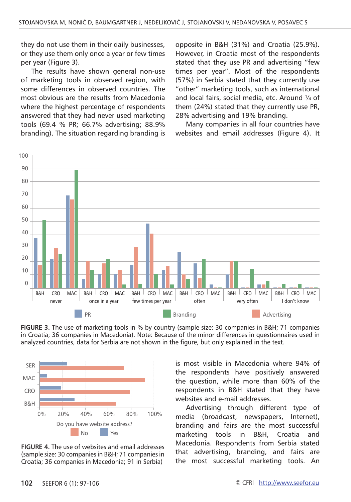they do not use them in their daily businesses, or they use them only once a year or few times per year (Figure 3).

The results have shown general non-use of marketing tools in observed region, with some differences in observed countries. The most obvious are the results from Macedonia where the highest percentage of respondents answered that they had never used marketing tools (69.4 % PR; 66.7% advertising; 88.9% branding). The situation regarding branding is opposite in B&H (31%) and Croatia (25.9%). However, in Croatia most of the respondents stated that they use PR and advertising "few times per year". Most of the respondents (57%) in Serbia stated that they currently use "other" marketing tools, such as international and local fairs, social media, etc. Around ¼ of them (24%) stated that they currently use PR, 28% advertising and 19% branding.

Many companies in all four countries have websites and email addresses (Figure 4). It



**FIGURE 3.** The use of marketing tools in % by country (sample size: 30 companies in B&H; 71 companies in Croatia; 36 companies in Macedonia). Note: Because of the minor differences in questionnaires used in analyzed countries, data for Serbia are not shown in the figure, but only explained in the text.



**FIGURE 4.** The use of websites and email addresses (sample size: 30 companies in B&H; 71 companies in Croatia; 36 companies in Macedonia; 91 in Serbia)

is most visible in Macedonia where 94% of the respondents have positively answered the question, while more than 60% of the respondents in B&H stated that they have websites and e-mail addresses.

Advertising through different type of media (broadcast, newspapers, Internet), branding and fairs are the most successful marketing tools in B&H, Croatia and Macedonia. Respondents from Serbia stated that advertising, branding, and fairs are the most successful marketing tools. An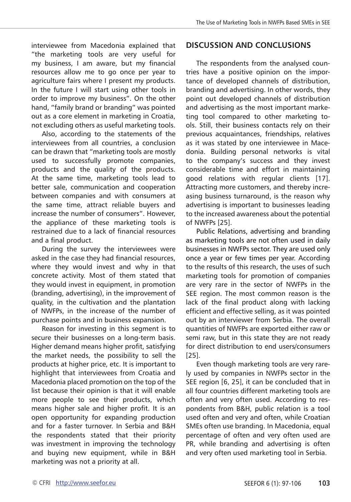interviewee from Macedonia explained that "the marketing tools are very useful for my business, I am aware, but my financial resources allow me to go once per year to agriculture fairs where I present my products. In the future I will start using other tools in order to improve my business". On the other hand, "family brand or branding" was pointed out as a core element in marketing in Croatia, not excluding others as useful marketing tools.

Also, according to the statements of the interviewees from all countries, a conclusion can be drawn that "marketing tools are mostly used to successfully promote companies, products and the quality of the products. At the same time, marketing tools lead to better sale, communication and cooperation between companies and with consumers at the same time, attract reliable buyers and increase the number of consumers". However, the appliance of these marketing tools is restrained due to a lack of financial resources and a final product.

During the survey the interviewees were asked in the case they had financial resources, where they would invest and why in that concrete activity. Most of them stated that they would invest in equipment, in promotion (branding, advertising), in the improvement of quality, in the cultivation and the plantation of NWFPs, in the increase of the number of purchase points and in business expansion.

Reason for investing in this segment is to secure their businesses on a long-term basis. Higher demand means higher profit, satisfying the market needs, the possibility to sell the products at higher price, etc. It is important to highlight that interviewees from Croatia and Macedonia placed promotion on the top of the list because their opinion is that it will enable more people to see their products, which means higher sale and higher profit. It is an open opportunity for expanding production and for a faster turnover. In Serbia and B&H the respondents stated that their priority was investment in improving the technology and buying new equipment, while in B&H marketing was not a priority at all.

## **DISCUSSION AND CONCLUSIONS**

The respondents from the analysed countries have a positive opinion on the importance of developed channels of distribution, branding and advertising. In other words, they point out developed channels of distribution and advertising as the most important marketing tool compared to other marketing tools. Still, their business contacts rely on their previous acquaintances, friendships, relatives as it was stated by one interviewee in Macedonia. Building personal networks is vital to the company's success and they invest considerable time and effort in maintaining good relations with regular clients [17]. Attracting more customers, and thereby increasing business turnaround, is the reason why advertising is important to businesses leading to the increased awareness about the potential of NWFPs [25].

Public Relations, advertising and branding as marketing tools are not often used in daily businesses in NWFPs sector. They are used only once a year or few times per year. According to the results of this research, the uses of such marketing tools for promotion of companies are very rare in the sector of NWFPs in the SEE region. The most common reason is the lack of the final product along with lacking efficient and effective selling, as it was pointed out by an interviewer from Serbia. The overall quantities of NWFPs are exported either raw or semi raw, but in this state they are not ready for direct distribution to end users/consumers [25].

Even though marketing tools are very rarely used by companies in NWFPs sector in the SEE region [6, 25], it can be concluded that in all four countries different marketing tools are often and very often used. According to respondents from B&H, public relation is a tool used often and very and often, while Croatian SMEs often use branding. In Macedonia, equal percentage of often and very often used are PR, while branding and advertising is often and very often used marketing tool in Serbia.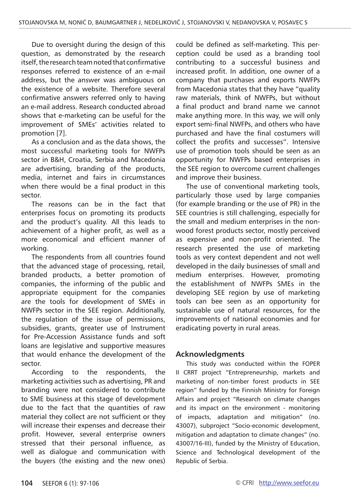Due to oversight during the design of this question, as demonstrated by the research itself, the research team noted that confirmative responses referred to existence of an e-mail address, but the answer was ambiguous on the existence of a website. Therefore several confirmative answers referred only to having an e-mail address. Research conducted abroad shows that e-marketing can be useful for the improvement of SMEs' activities related to promotion [7].

As a conclusion and as the data shows, the most successful marketing tools for NWFPs sector in B&H, Croatia, Serbia and Macedonia are advertising, branding of the products, media, internet and fairs in circumstances when there would be a final product in this sector.

The reasons can be in the fact that enterprises focus on promoting its products and the product's quality. All this leads to achievement of a higher profit, as well as a more economical and efficient manner of working.

The respondents from all countries found that the advanced stage of processing, retail, branded products, a better promotion of companies, the informing of the public and appropriate equipment for the companies are the tools for development of SMEs in NWFPs sector in the SEE region. Additionally, the regulation of the issue of permissions, subsidies, grants, greater use of Instrument for Pre-Accession Assistance funds and soft loans are legislative and supportive measures that would enhance the development of the sector.

According to the respondents, the marketing activities such as advertising, PR and branding were not considered to contribute to SME business at this stage of development due to the fact that the quantities of raw material they collect are not sufficient or they will increase their expenses and decrease their profit. However, several enterprise owners stressed that their personal influence, as well as dialogue and communication with the buyers (the existing and the new ones) could be defined as self-marketing. This perception could be used as a branding tool contributing to a successful business and increased profit. In addition, one owner of a company that purchases and exports NWFPs from Macedonia states that they have "quality raw materials, think of NWFPs, but without a final product and brand name we cannot make anything more. In this way, we will only export semi-final NWFPs, and others who have purchased and have the final costumers will collect the profits and successes". Intensive use of promotion tools should be seen as an opportunity for NWFPs based enterprises in the SEE region to overcome current challenges and improve their business.

The use of conventional marketing tools, particularly those used by large companies (for example branding or the use of PR) in the SEE countries is still challenging, especially for the small and medium enterprises in the nonwood forest products sector, mostly perceived as expensive and non-profit oriented. The research presented the use of marketing tools as very context dependent and not well developed in the daily businesses of small and medium enterprises. However, promoting the establishment of NWFPs SMEs in the developing SEE region by use of marketing tools can bee seen as an opportunity for sustainable use of natural resources, for the improvements of national economies and for eradicating poverty in rural areas.

## **Acknowledgments**

This study was conducted within the FOPER II CRRT project "Entrepreneurship, markets and marketing of non-timber forest products in SEE region" funded by the Finnish Ministry for Foreign Affairs and project "Research on climate changes and its impact on the environment - monitoring of impacts, adaptation and mitigation" (no. 43007), subproject "Socio-economic development, mitigation and adaptation to climate changes" (no. 43007/16-III), funded by the Ministry of Education, Science and Technological development of the Republic of Serbia.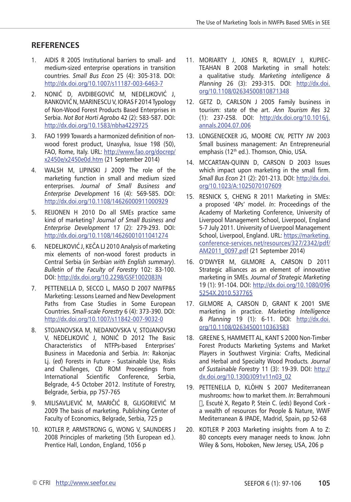## **RefereNces**

- 1. AIDIS R 2005 Institutional barriers to small- and medium-sized enterprise operations in transition countries. *Small Bus Econ* 25 (4): 305-318. DOI: <http://dx.doi.org/10.1007/s11187-003-6463-7>
- 2. NONIĆ D, AVDIBEGOVIĆ M, NEDELJKOVIĆ J, RANKOVIĆ N, MARINESCU V, IORAS F 2014 Typology of Non-Wood Forest Products Based Enterprises in Serbia. *Not Bot Horti Agrobo* 42 (2): 583-587. DOI: <http://dx.doi.org/10.1583/nbha4229725>
- 3. FAO 1999 Towards a harmonized definition of nonwood forest product, Unasylva, Issue 198 (50), FAO, Rome, Italy. URL: [http://www.fao.org/docrep/](http://www.fao.org/docrep/x2450e/x2450e0d.htm) [x2450e/x2450e0d.htm](http://www.fao.org/docrep/x2450e/x2450e0d.htm) (21 September 2014)
- 4. WALSH M, LIPINSKI J 2009 The role of the marketing function in small and medium sized enterprises. *Journal of Small Business and Enterprise Development* 16 (4): 569-585. DOI: <http://dx.doi.org/10.1108/14626000911000929>
- 5. REIJONEN H 2010 Do all SMEs practice same kind of marketing? *Journal of Small Business and Enterprise Development* 17 (2): 279-293. DOI: <http://dx.doi.org/10.1108/14626001011041274>
- 6. NEDELJKOVIĆ J, KEČA LJ 2010 Analysis of marketing mix elements of non-wood forest products in Central Serbia (*in Serbian with English summary*). *Bulletin of the Faculty of Forestry* 102: 83-100. DOI:<http://dx.doi.org/10.2298/GSF1002083N>
- 7. PETTENELLA D, SECCO L, MASO D 2007 NWFP&S Marketing: Lessons Learned and New Development Paths from Case Studies in Some European Countries. *Small-scale Forestry* 6 (4): 373-390. DOI: <http://dx.doi.org/10.1007/s11842-007-9032-0>
- 8. STOJANOVSKA M, NEDANOVSKA V, STOJANOVSKI V, NEDELJKOVIĆ J, NONIĆ D 2012 The Basic Characteristics of NTFPs-based Enterprises' Business in Macedonia and Serbia. *In*: Rakonjac Lj. (*ed*) Forests in Future - Sustainable Use, Risks and Challenges, CD ROM Proceedings from International Scientific Conference, Serbia, Belgrade, 4-5 October 2012. Institute of Forestry, Belgrade, Serbia, pp 757-765
- 9. MILISAVLJEVIĆ M, MARIČIĆ B, GLIGORIEVIĆ M 2009 The basis of marketing. Publishing Center of Faculty of Economics, Belgrade, Serbia, 725 p
- 10. Kotler P, Armstrong G, Wong V, Saunders J 2008 Principles of marketing (5th European ed.). Prentice Hall, London, England, 1056 p
- 11. MORIARTY J, JONES R, ROWLEY J, KUPIEC-TEAHAN B 2008 Marketing in small hotels: a qualitative study. *Marketing intelligence & Planning* 26 (3): 293-315. DOI: [http://dx.doi.](http://dx.doi.org/10.1108/02634500810871348) [org/10.1108/02634500810871348](http://dx.doi.org/10.1108/02634500810871348)
- 12. GETZ D, CARLSON J 2005 Family business in tourism: state of the art. *Ann Tourism Res* 32 (1): 237-258. DOI: [http://dx.doi.org/10.1016/j.](http://dx.doi.org/10.1016/j.annals.2004.07.006) [annals.2004.07.006](http://dx.doi.org/10.1016/j.annals.2004.07.006)
- 13. LONGENECKER JG, MOORE CW, PETTY JW 2003 Small business management: An Entrepreneurial emphasis (12<sup>th</sup> ed.). Thomson, Ohio, USA.
- 14. MCCARTAN-QUINN D, CARSON D 2003 Issues which impact upon marketing in the small firm. *Small Bus Econ* 21 (2): 201-213. DOI: [http://dx.doi.](http://dx.doi.org/10.1023/A:1025070107609) [org/10.1023/A:1025070107609](http://dx.doi.org/10.1023/A:1025070107609)
- 15. RESNICK S, CHENG R 2011 Marketing in SMEs: a proposed '4Ps' model. *In*: Proceedings of the Academy of Marketing Conference, University of Liverpool Management School, Liverpool, England 5-7 July 2011. University of Liverpool Management School, Liverpool, England. URL: [https://marketing.](https://marketing.conference-services.net/resources/327/2342/pdf/AM2011_0097.pdf) [conference-services.net/resources/327/2342/pdf/](https://marketing.conference-services.net/resources/327/2342/pdf/AM2011_0097.pdf) [AM2011\\_0097.pdf](https://marketing.conference-services.net/resources/327/2342/pdf/AM2011_0097.pdf) (21 September 2014)
- 16. O'DWYER M, GILMORE A, CARSON D 2011 Strategic alliances as an element of innovative marketing in SMEs*. Journal of Strategic Marketing* 19 (1): 91-104. DOI: [http://dx.doi.org/10.1080/096](http://dx.doi.org/10.1080/0965254X.2010.537765) [5254X.2010.537765](http://dx.doi.org/10.1080/0965254X.2010.537765)
- 17. GILMORE A, CARSON D, GRANT K 2001 SME marketing in practice. *Marketing Intelligence & Planning* 19 (1): 6-11. DOI: http://dx.doi. org/10.1108/02634500110363583
- 18. GREENE S, HAMMETT AL, KANT S 2000 Non-Timber Forest Products Marketing Systems and Market Players in Southwest Virginia: Crafts, Medicinal and Herbal and Specialty Wood Products*. Journal of Sustainable Forestry* 11 (3): 19-39. DOI: [http://](http://dx.doi.org/10.1300/J091v11n03_02) [dx.doi.org/10.1300/J091v11n03\\_02](http://dx.doi.org/10.1300/J091v11n03_02)
- 19. PETTENELLA D, KLÖHN S 2007 Mediterranean mushrooms: how to market them. *In*: Berrahmouni Н, Escuté X, Regato P, Stein C. (*eds*) Beyond Cork a wealth of resources for People & Nature, WWF Mediterranean & IPADE, Madrid, Spain, pp 52-68
- 20. KOTLER P 2003 Marketing insights from A to Z: 80 concepts every manager needs to know. John Wiley & Sons, Hoboken, New Jersey, USA, 206 p